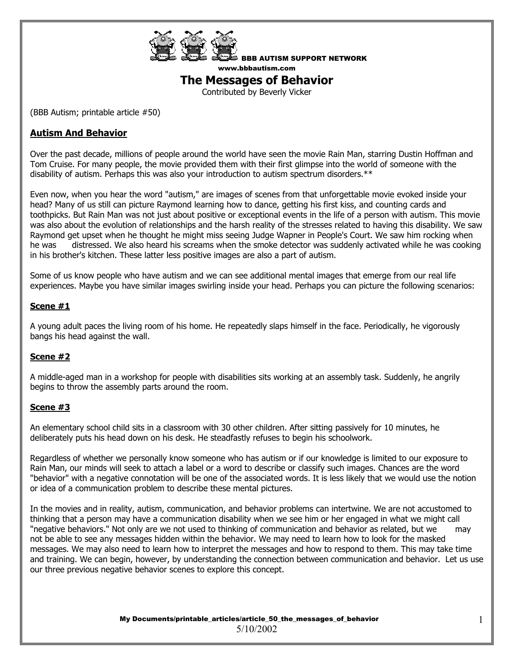

BBB AUTISM SUPPORT NETWORK www.bbbautism.com

# **The Messages of Behavior**

Contributed by Beverly Vicker

(BBB Autism; printable article #50)

# **Autism And Behavior**

Over the past decade, millions of people around the world have seen the movie Rain Man, starring Dustin Hoffman and Tom Cruise. For many people, the movie provided them with their first glimpse into the world of someone with the disability of autism. Perhaps this was also your introduction to autism spectrum disorders.\*\*

Even now, when you hear the word "autism," are images of scenes from that unforgettable movie evoked inside your head? Many of us still can picture Raymond learning how to dance, getting his first kiss, and counting cards and toothpicks. But Rain Man was not just about positive or exceptional events in the life of a person with autism. This movie was also about the evolution of relationships and the harsh reality of the stresses related to having this disability. We saw Raymond get upset when he thought he might miss seeing Judge Wapner in People's Court. We saw him rocking when he was distressed. We also heard his screams when the smoke detector was suddenly activated while he was cooking in his brother's kitchen. These latter less positive images are also a part of autism.

Some of us know people who have autism and we can see additional mental images that emerge from our real life experiences. Maybe you have similar images swirling inside your head. Perhaps you can picture the following scenarios:

#### **Scene #1**

A young adult paces the living room of his home. He repeatedly slaps himself in the face. Periodically, he vigorously bangs his head against the wall.

#### **Scene #2**

A middle-aged man in a workshop for people with disabilities sits working at an assembly task. Suddenly, he angrily begins to throw the assembly parts around the room.

#### **Scene #3**

An elementary school child sits in a classroom with 30 other children. After sitting passively for 10 minutes, he deliberately puts his head down on his desk. He steadfastly refuses to begin his schoolwork.

Regardless of whether we personally know someone who has autism or if our knowledge is limited to our exposure to Rain Man, our minds will seek to attach a label or a word to describe or classify such images. Chances are the word "behavior" with a negative connotation will be one of the associated words. It is less likely that we would use the notion or idea of a communication problem to describe these mental pictures.

In the movies and in reality, autism, communication, and behavior problems can intertwine. We are not accustomed to thinking that a person may have a communication disability when we see him or her engaged in what we might call "negative behaviors." Not only are we not used to thinking of communication and behavior as related, but we may not be able to see any messages hidden within the behavior. We may need to learn how to look for the masked messages. We may also need to learn how to interpret the messages and how to respond to them. This may take time and training. We can begin, however, by understanding the connection between communication and behavior. Let us use our three previous negative behavior scenes to explore this concept.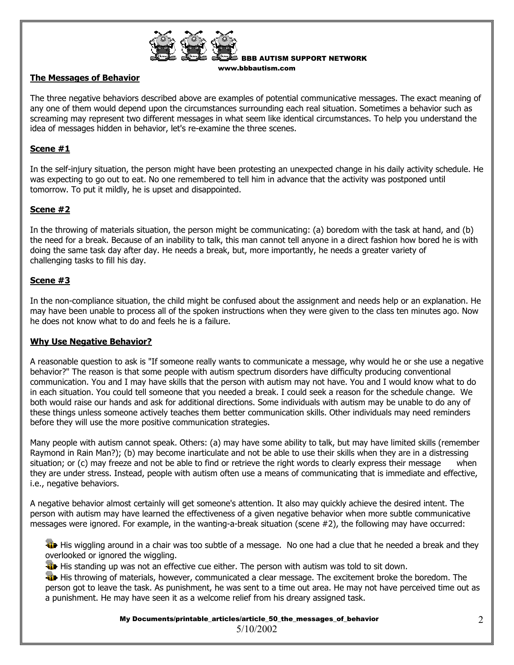

BBB AUTISM SUPPORT NETWORK www.bbbautism.com

# **The Messages of Behavior**

The three negative behaviors described above are examples of potential communicative messages. The exact meaning of any one of them would depend upon the circumstances surrounding each real situation. Sometimes a behavior such as screaming may represent two different messages in what seem like identical circumstances. To help you understand the idea of messages hidden in behavior, let's re-examine the three scenes.

# **Scene #1**

In the self-injury situation, the person might have been protesting an unexpected change in his daily activity schedule. He was expecting to go out to eat. No one remembered to tell him in advance that the activity was postponed until tomorrow. To put it mildly, he is upset and disappointed.

# **Scene #2**

In the throwing of materials situation, the person might be communicating: (a) boredom with the task at hand, and (b) the need for a break. Because of an inability to talk, this man cannot tell anyone in a direct fashion how bored he is with doing the same task day after day. He needs a break, but, more importantly, he needs a greater variety of challenging tasks to fill his day.

# **Scene #3**

In the non-compliance situation, the child might be confused about the assignment and needs help or an explanation. He may have been unable to process all of the spoken instructions when they were given to the class ten minutes ago. Now he does not know what to do and feels he is a failure.

#### **Why Use Negative Behavior?**

A reasonable question to ask is "If someone really wants to communicate a message, why would he or she use a negative behavior?" The reason is that some people with autism spectrum disorders have difficulty producing conventional communication. You and I may have skills that the person with autism may not have. You and I would know what to do in each situation. You could tell someone that you needed a break. I could seek a reason for the schedule change. We both would raise our hands and ask for additional directions. Some individuals with autism may be unable to do any of these things unless someone actively teaches them better communication skills. Other individuals may need reminders before they will use the more positive communication strategies.

Many people with autism cannot speak. Others: (a) may have some ability to talk, but may have limited skills (remember Raymond in Rain Man?); (b) may become inarticulate and not be able to use their skills when they are in a distressing situation; or (c) may freeze and not be able to find or retrieve the right words to clearly express their message when they are under stress. Instead, people with autism often use a means of communicating that is immediate and effective, i.e., negative behaviors.

A negative behavior almost certainly will get someone's attention. It also may quickly achieve the desired intent. The person with autism may have learned the effectiveness of a given negative behavior when more subtle communicative messages were ignored. For example, in the wanting-a-break situation (scene #2), the following may have occurred:

 His wiggling around in a chair was too subtle of a message. No one had a clue that he needed a break and they overlooked or ignored the wiggling.

**His standing up was not an effective cue either. The person with autism was told to sit down.** 

**His throwing of materials, however, communicated a clear message. The excitement broke the boredom. The** person got to leave the task. As punishment, he was sent to a time out area. He may not have perceived time out as a punishment. He may have seen it as a welcome relief from his dreary assigned task.

> My Documents/printable articles/article 50 the messages of behavior 5/10/2002